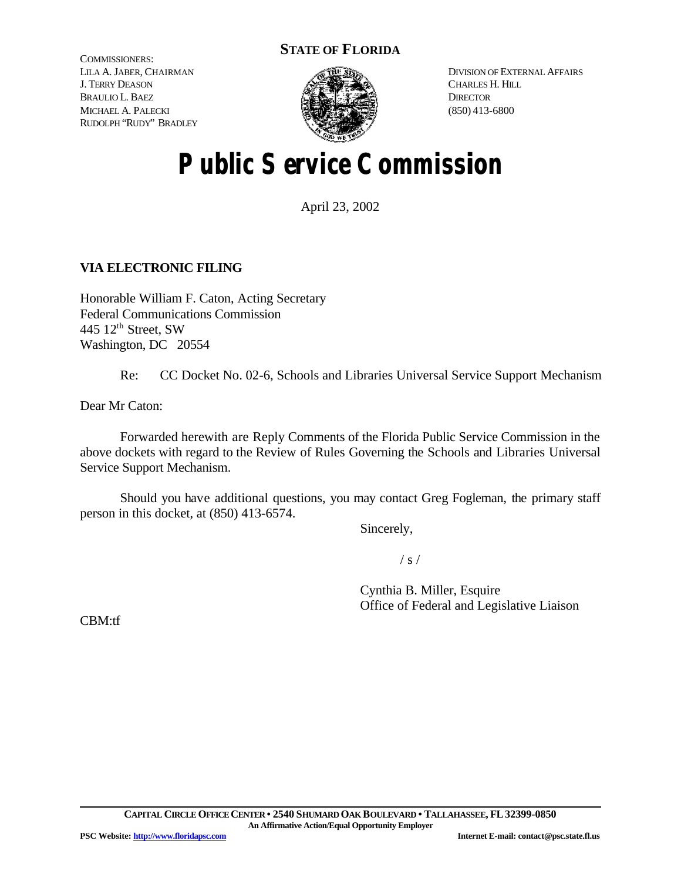# **STATE OF FLORIDA**

COMMISSIONERS: LILA A. JABER, CHAIRMAN J. TERRY DEASON BRAULIO L. BAEZ MICHAEL A. PALECKI RUDOLPH "RUDY" BRADLEY



DIVISION OF EXTERNAL AFFAIRS CHARLES H. HILL **DIRECTOR** (850) 413-6800

# **Public Service Commission**

April 23, 2002

# **VIA ELECTRONIC FILING**

Honorable William F. Caton, Acting Secretary Federal Communications Commission 445  $12<sup>th</sup>$  Street, SW Washington, DC 20554

Re: CC Docket No. 02-6, Schools and Libraries Universal Service Support Mechanism

Dear Mr Caton:

Forwarded herewith are Reply Comments of the Florida Public Service Commission in the above dockets with regard to the Review of Rules Governing the Schools and Libraries Universal Service Support Mechanism.

Should you have additional questions, you may contact Greg Fogleman, the primary staff person in this docket, at (850) 413-6574.

Sincerely,

 $/ s /$ 

Cynthia B. Miller, Esquire Office of Federal and Legislative Liaison

CBM:tf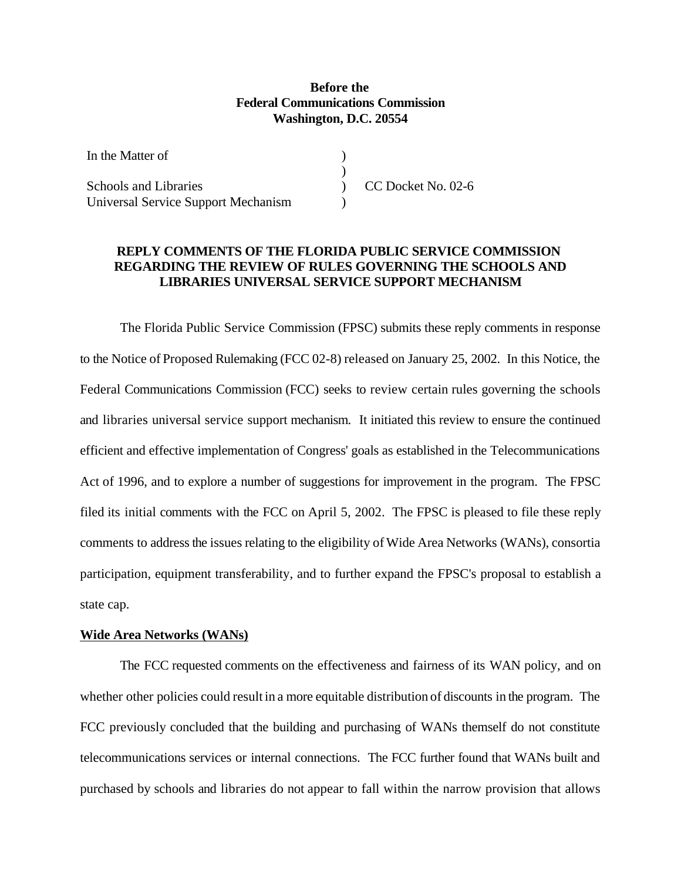## **Before the Federal Communications Commission Washington, D.C. 20554**

| In the Matter of                           |                    |
|--------------------------------------------|--------------------|
|                                            |                    |
| <b>Schools and Libraries</b>               | CC Docket No. 02-6 |
| <b>Universal Service Support Mechanism</b> |                    |

## **REPLY COMMENTS OF THE FLORIDA PUBLIC SERVICE COMMISSION REGARDING THE REVIEW OF RULES GOVERNING THE SCHOOLS AND LIBRARIES UNIVERSAL SERVICE SUPPORT MECHANISM**

The Florida Public Service Commission (FPSC) submits these reply comments in response to the Notice of Proposed Rulemaking (FCC 02-8) released on January 25, 2002. In this Notice, the Federal Communications Commission (FCC) seeks to review certain rules governing the schools and libraries universal service support mechanism. It initiated this review to ensure the continued efficient and effective implementation of Congress' goals as established in the Telecommunications Act of 1996, and to explore a number of suggestions for improvement in the program. The FPSC filed its initial comments with the FCC on April 5, 2002. The FPSC is pleased to file these reply comments to addressthe issues relating to the eligibility of Wide Area Networks (WANs), consortia participation, equipment transferability, and to further expand the FPSC's proposal to establish a state cap.

#### **Wide Area Networks (WANs)**

The FCC requested comments on the effectiveness and fairness of its WAN policy, and on whether other policies could result in a more equitable distribution of discounts in the program. The FCC previously concluded that the building and purchasing of WANs themself do not constitute telecommunications services or internal connections. The FCC further found that WANs built and purchased by schools and libraries do not appear to fall within the narrow provision that allows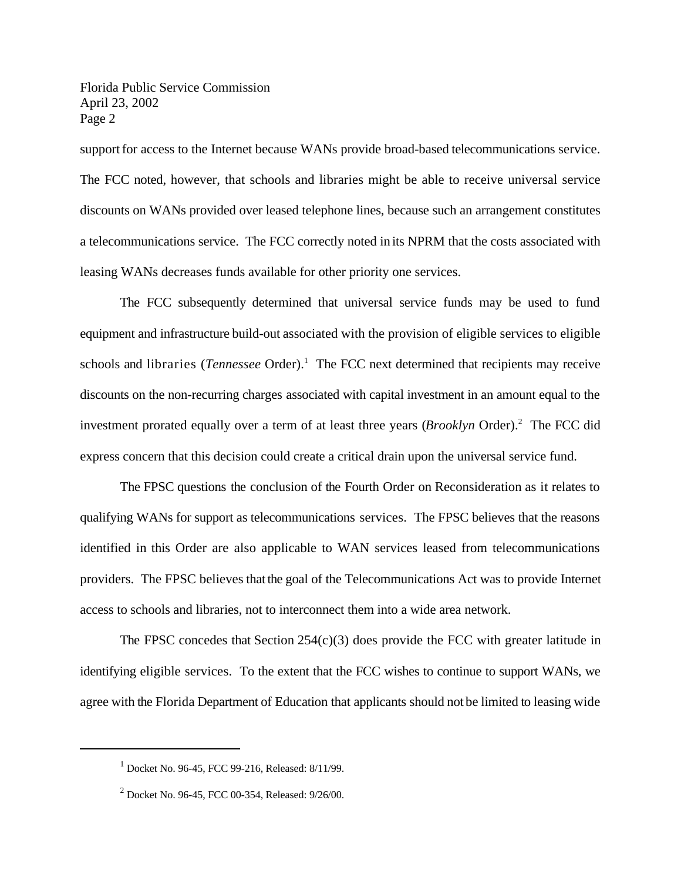support for access to the Internet because WANs provide broad-based telecommunications service. The FCC noted, however, that schools and libraries might be able to receive universal service discounts on WANs provided over leased telephone lines, because such an arrangement constitutes a telecommunications service. The FCC correctly noted in its NPRM that the costs associated with leasing WANs decreases funds available for other priority one services.

The FCC subsequently determined that universal service funds may be used to fund equipment and infrastructure build-out associated with the provision of eligible services to eligible schools and libraries (*Tennessee* Order).<sup>1</sup> The FCC next determined that recipients may receive discounts on the non-recurring charges associated with capital investment in an amount equal to the investment prorated equally over a term of at least three years (*Brooklyn* Order).<sup>2</sup> The FCC did express concern that this decision could create a critical drain upon the universal service fund.

The FPSC questions the conclusion of the Fourth Order on Reconsideration as it relates to qualifying WANs for support as telecommunications services. The FPSC believes that the reasons identified in this Order are also applicable to WAN services leased from telecommunications providers. The FPSC believes thatthe goal of the Telecommunications Act was to provide Internet access to schools and libraries, not to interconnect them into a wide area network.

The FPSC concedes that Section  $254(c)(3)$  does provide the FCC with greater latitude in identifying eligible services. To the extent that the FCC wishes to continue to support WANs, we agree with the Florida Department of Education that applicants should not be limited to leasing wide

<sup>1</sup> Docket No. 96-45, FCC 99-216, Released: 8/11/99.

<sup>2</sup> Docket No. 96-45, FCC 00-354, Released: 9/26/00.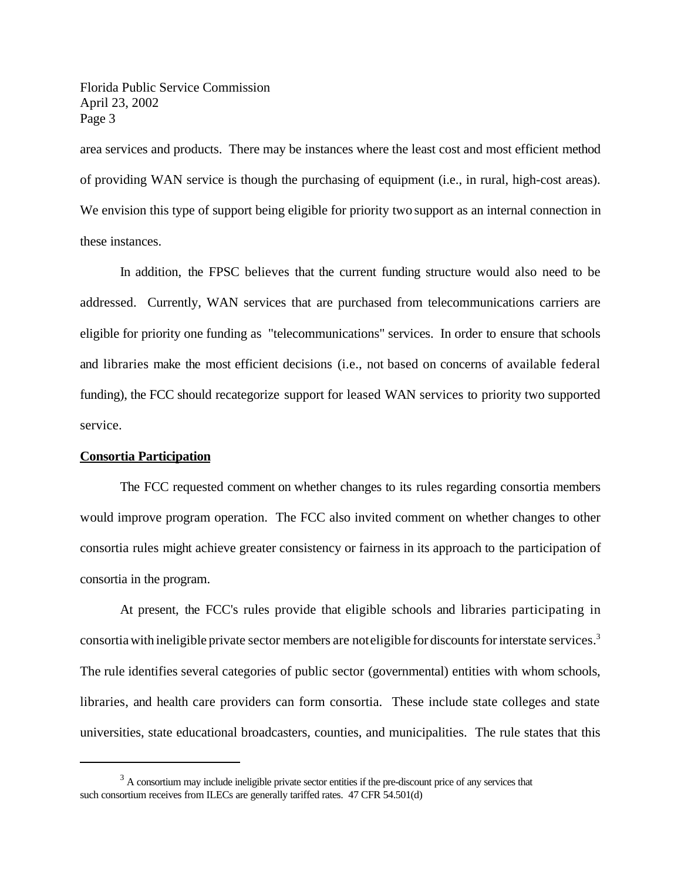area services and products. There may be instances where the least cost and most efficient method of providing WAN service is though the purchasing of equipment (i.e., in rural, high-cost areas). We envision this type of support being eligible for priority two support as an internal connection in these instances.

In addition, the FPSC believes that the current funding structure would also need to be addressed. Currently, WAN services that are purchased from telecommunications carriers are eligible for priority one funding as "telecommunications" services. In order to ensure that schools and libraries make the most efficient decisions (i.e., not based on concerns of available federal funding), the FCC should recategorize support for leased WAN services to priority two supported service.

#### **Consortia Participation**

The FCC requested comment on whether changes to its rules regarding consortia members would improve program operation. The FCC also invited comment on whether changes to other consortia rules might achieve greater consistency or fairness in its approach to the participation of consortia in the program.

At present, the FCC's rules provide that eligible schools and libraries participating in consortia with ineligible private sector members are noteligible for discounts for interstate services.<sup>3</sup> The rule identifies several categories of public sector (governmental) entities with whom schools, libraries, and health care providers can form consortia. These include state colleges and state universities, state educational broadcasters, counties, and municipalities. The rule states that this

 $3<sup>3</sup>$  A consortium may include ineligible private sector entities if the pre-discount price of any services that such consortium receives from ILECs are generally tariffed rates. 47 CFR 54.501(d)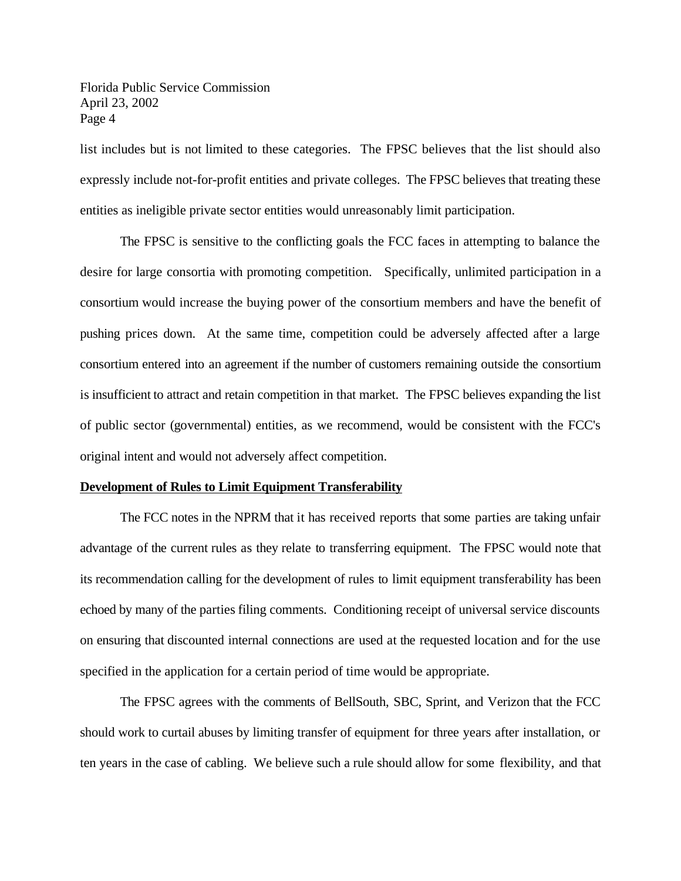list includes but is not limited to these categories. The FPSC believes that the list should also expressly include not-for-profit entities and private colleges. The FPSC believes that treating these entities as ineligible private sector entities would unreasonably limit participation.

The FPSC is sensitive to the conflicting goals the FCC faces in attempting to balance the desire for large consortia with promoting competition. Specifically, unlimited participation in a consortium would increase the buying power of the consortium members and have the benefit of pushing prices down. At the same time, competition could be adversely affected after a large consortium entered into an agreement if the number of customers remaining outside the consortium is insufficient to attract and retain competition in that market. The FPSC believes expanding the list of public sector (governmental) entities, as we recommend, would be consistent with the FCC's original intent and would not adversely affect competition.

#### **Development of Rules to Limit Equipment Transferability**

The FCC notes in the NPRM that it has received reports that some parties are taking unfair advantage of the current rules as they relate to transferring equipment. The FPSC would note that its recommendation calling for the development of rules to limit equipment transferability has been echoed by many of the parties filing comments. Conditioning receipt of universal service discounts on ensuring that discounted internal connections are used at the requested location and for the use specified in the application for a certain period of time would be appropriate.

The FPSC agrees with the comments of BellSouth, SBC, Sprint, and Verizon that the FCC should work to curtail abuses by limiting transfer of equipment for three years after installation, or ten years in the case of cabling. We believe such a rule should allow for some flexibility, and that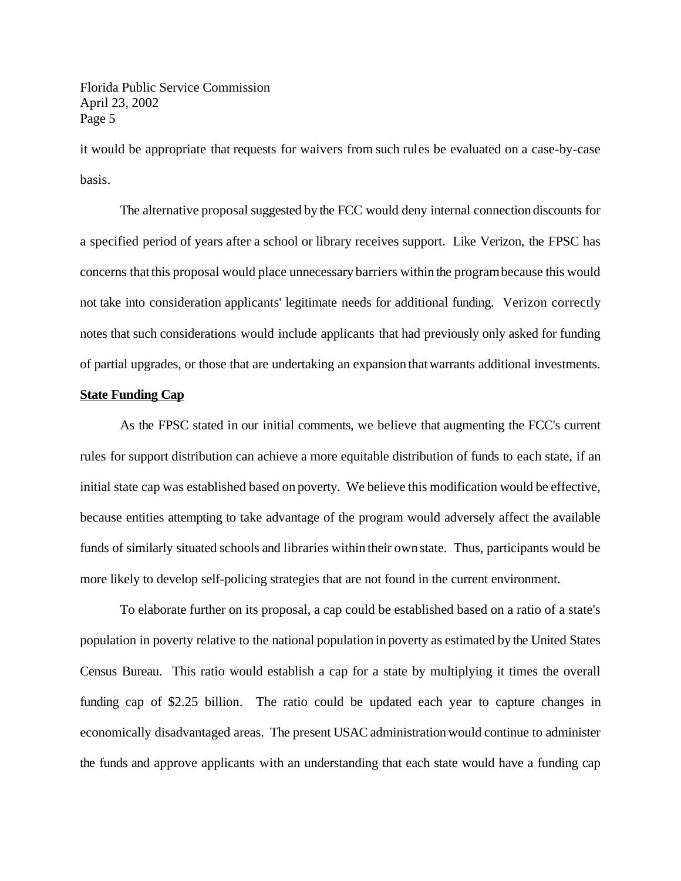it would be appropriate that requests for waivers from such rules be evaluated on a case-by-case basis.

The alternative proposal suggested by the FCC would deny internal connection discounts for a specified period of years after a school or library receives support. Like Verizon, the FPSC has concerns that this proposal would place unnecessary barriers within the programbecause this would not take into consideration applicants' legitimate needs for additional funding. Verizon correctly notes that such considerations would include applicants that had previously only asked for funding of partial upgrades, or those that are undertaking an expansion thatwarrants additional investments.

#### **State Funding Cap**

As the FPSC stated in our initial comments, we believe that augmenting the FCC's current rules for support distribution can achieve a more equitable distribution of funds to each state, if an initial state cap was established based on poverty. We believe this modification would be effective, because entities attempting to take advantage of the program would adversely affect the available funds of similarly situated schools and libraries within their own state. Thus, participants would be more likely to develop self-policing strategies that are not found in the current environment.

To elaborate further on its proposal, a cap could be established based on a ratio of a state's population in poverty relative to the national population in poverty as estimated by the United States Census Bureau. This ratio would establish a cap for a state by multiplying it times the overall funding cap of \$2.25 billion. The ratio could be updated each year to capture changes in economically disadvantaged areas. The present USAC administration would continue to administer the funds and approve applicants with an understanding that each state would have a funding cap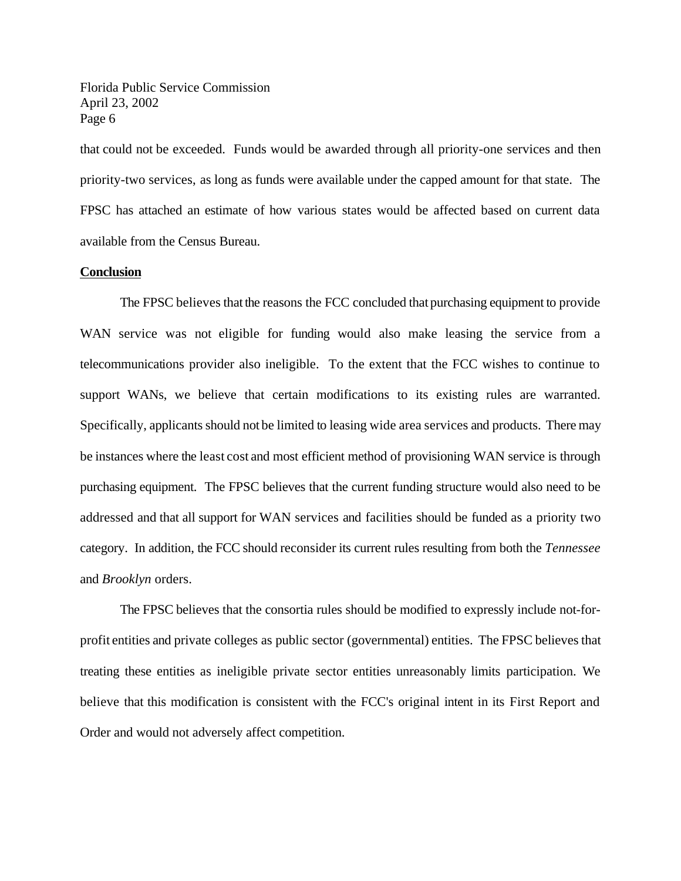that could not be exceeded. Funds would be awarded through all priority-one services and then priority-two services, as long as funds were available under the capped amount for that state. The FPSC has attached an estimate of how various states would be affected based on current data available from the Census Bureau.

#### **Conclusion**

The FPSC believes that the reasons the FCC concluded that purchasing equipment to provide WAN service was not eligible for funding would also make leasing the service from a telecommunications provider also ineligible. To the extent that the FCC wishes to continue to support WANs, we believe that certain modifications to its existing rules are warranted. Specifically, applicants should not be limited to leasing wide area services and products. There may be instances where the least cost and most efficient method of provisioning WAN service is through purchasing equipment. The FPSC believes that the current funding structure would also need to be addressed and that all support for WAN services and facilities should be funded as a priority two category. In addition, the FCC should reconsider its current rules resulting from both the *Tennessee* and *Brooklyn* orders.

The FPSC believes that the consortia rules should be modified to expressly include not-forprofit entities and private colleges as public sector (governmental) entities. The FPSC believes that treating these entities as ineligible private sector entities unreasonably limits participation. We believe that this modification is consistent with the FCC's original intent in its First Report and Order and would not adversely affect competition.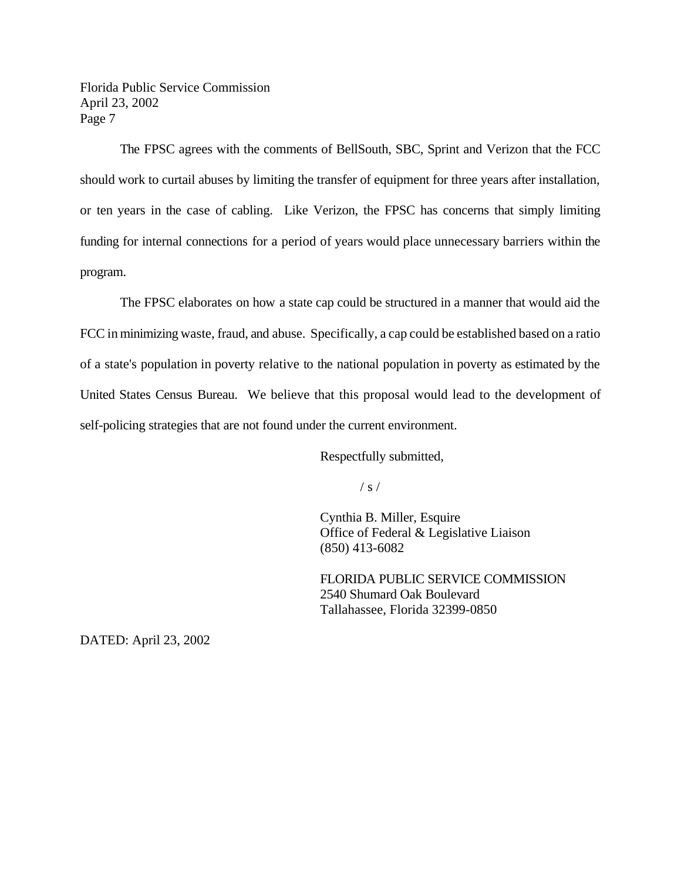The FPSC agrees with the comments of BellSouth, SBC, Sprint and Verizon that the FCC should work to curtail abuses by limiting the transfer of equipment for three years after installation, or ten years in the case of cabling. Like Verizon, the FPSC has concerns that simply limiting funding for internal connections for a period of years would place unnecessary barriers within the program.

The FPSC elaborates on how a state cap could be structured in a manner that would aid the FCC in minimizing waste, fraud, and abuse. Specifically, a cap could be established based on a ratio of a state's population in poverty relative to the national population in poverty as estimated by the United States Census Bureau. We believe that this proposal would lead to the development of self-policing strategies that are not found under the current environment.

Respectfully submitted,

 $/ s /$ 

Cynthia B. Miller, Esquire Office of Federal & Legislative Liaison (850) 413-6082

FLORIDA PUBLIC SERVICE COMMISSION 2540 Shumard Oak Boulevard Tallahassee, Florida 32399-0850

DATED: April 23, 2002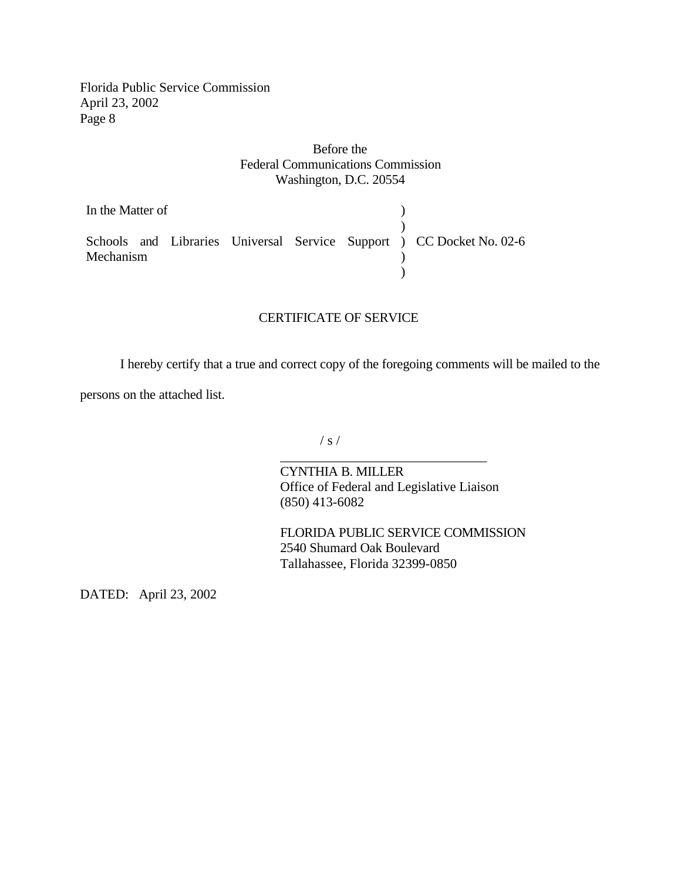## Before the Federal Communications Commission Washington, D.C. 20554

In the Matter of Schools and Libraries Universal Service Support Mechanism ) ) ) CC Docket No. 02-6  $\big)$  $\tilde{\mathcal{L}}$ 

### CERTIFICATE OF SERVICE

I hereby certify that a true and correct copy of the foregoing comments will be mailed to the

persons on the attached list.

 $/ s /$ 

CYNTHIA B. MILLER Office of Federal and Legislative Liaison (850) 413-6082

\_\_\_\_\_\_\_\_\_\_\_\_\_\_\_\_\_\_\_\_\_\_\_\_\_\_\_\_\_\_\_

FLORIDA PUBLIC SERVICE COMMISSION 2540 Shumard Oak Boulevard Tallahassee, Florida 32399-0850

DATED: April 23, 2002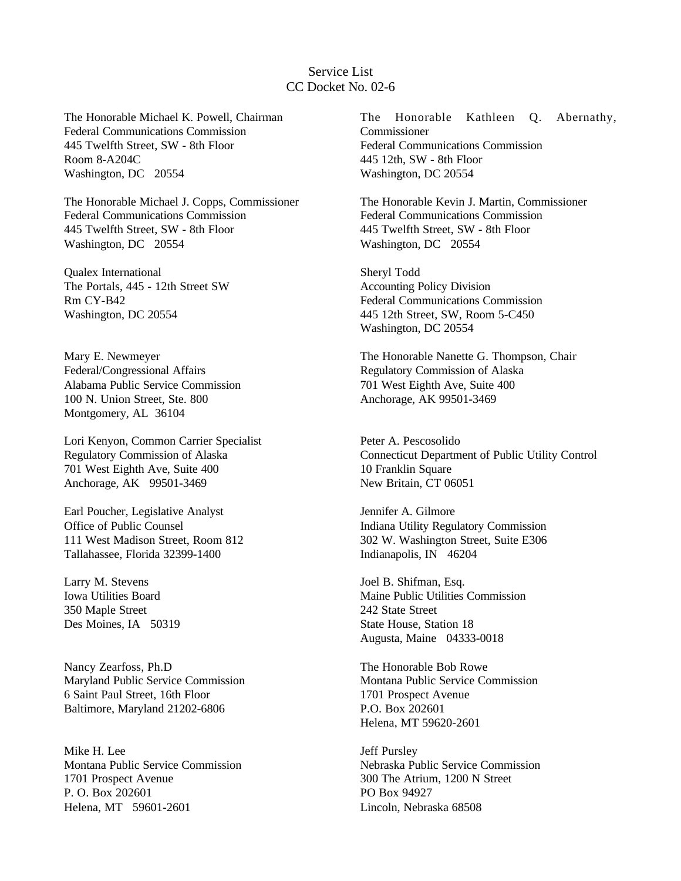## Service List CC Docket No. 02-6

The Honorable Michael K. Powell, Chairman Federal Communications Commission 445 Twelfth Street, SW - 8th Floor Room 8-A204C Washington, DC 20554

The Honorable Michael J. Copps, Commissioner Federal Communications Commission 445 Twelfth Street, SW - 8th Floor Washington, DC 20554

Qualex International The Portals, 445 - 12th Street SW Rm CY-B42 Washington, DC 20554

Mary E. Newmeyer Federal/Congressional Affairs Alabama Public Service Commission 100 N. Union Street, Ste. 800 Montgomery, AL 36104

Lori Kenyon, Common Carrier Specialist Regulatory Commission of Alaska 701 West Eighth Ave, Suite 400 Anchorage, AK 99501-3469

Earl Poucher, Legislative Analyst Office of Public Counsel 111 West Madison Street, Room 812 Tallahassee, Florida 32399-1400

Larry M. Stevens Iowa Utilities Board 350 Maple Street Des Moines, IA 50319

Nancy Zearfoss, Ph.D Maryland Public Service Commission 6 Saint Paul Street, 16th Floor Baltimore, Maryland 21202-6806

Mike H. Lee Montana Public Service Commission 1701 Prospect Avenue P. O. Box 202601 Helena, MT 59601-2601

The Honorable Kathleen Q. Abernathy, Commissioner Federal Communications Commission 445 12th, SW - 8th Floor Washington, DC 20554

The Honorable Kevin J. Martin, Commissioner Federal Communications Commission 445 Twelfth Street, SW - 8th Floor Washington, DC 20554

Sheryl Todd Accounting Policy Division Federal Communications Commission 445 12th Street, SW, Room 5-C450 Washington, DC 20554

The Honorable Nanette G. Thompson, Chair Regulatory Commission of Alaska 701 West Eighth Ave, Suite 400 Anchorage, AK 99501-3469

Peter A. Pescosolido Connecticut Department of Public Utility Control 10 Franklin Square New Britain, CT 06051

Jennifer A. Gilmore Indiana Utility Regulatory Commission 302 W. Washington Street, Suite E306 Indianapolis, IN 46204

Joel B. Shifman, Esq. Maine Public Utilities Commission 242 State Street State House, Station 18 Augusta, Maine 04333-0018

The Honorable Bob Rowe Montana Public Service Commission 1701 Prospect Avenue P.O. Box 202601 Helena, MT 59620-2601

Jeff Pursley Nebraska Public Service Commission 300 The Atrium, 1200 N Street PO Box 94927 Lincoln, Nebraska 68508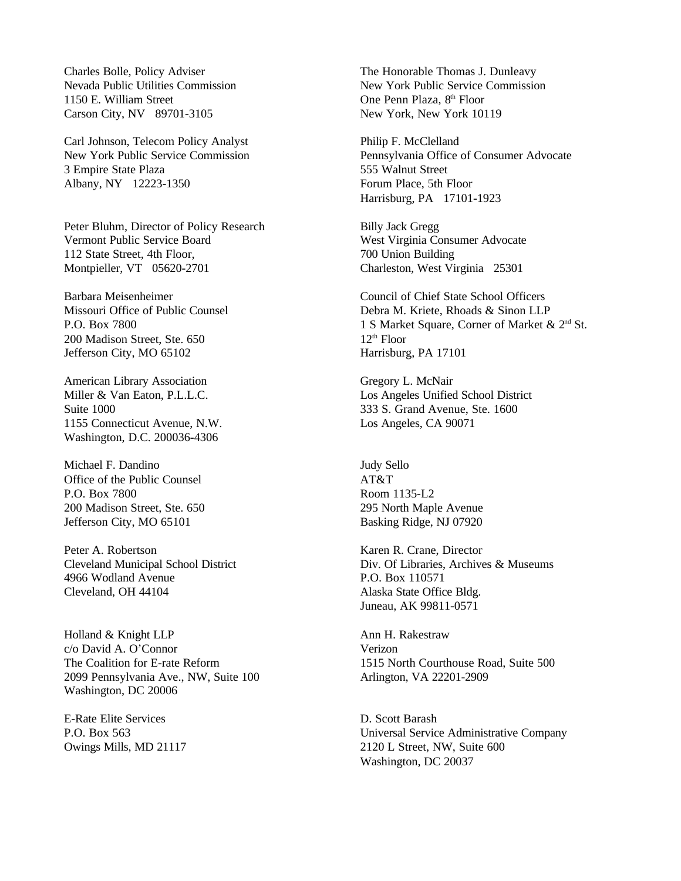Charles Bolle, Policy Adviser Nevada Public Utilities Commission 1150 E. William Street Carson City, NV 89701-3105

Carl Johnson, Telecom Policy Analyst New York Public Service Commission 3 Empire State Plaza Albany, NY 12223-1350

Peter Bluhm, Director of Policy Research Vermont Public Service Board 112 State Street, 4th Floor, Montpieller, VT 05620-2701

Barbara Meisenheimer Missouri Office of Public Counsel P.O. Box 7800 200 Madison Street, Ste. 650 Jefferson City, MO 65102

American Library Association Miller & Van Eaton, P.L.L.C. Suite 1000 1155 Connecticut Avenue, N.W. Washington, D.C. 200036-4306

Michael F. Dandino Office of the Public Counsel P.O. Box 7800 200 Madison Street, Ste. 650 Jefferson City, MO 65101

Peter A. Robertson Cleveland Municipal School District 4966 Wodland Avenue Cleveland, OH 44104

Holland & Knight LLP c/o David A. O'Connor The Coalition for E-rate Reform 2099 Pennsylvania Ave., NW, Suite 100 Washington, DC 20006

E-Rate Elite Services P.O. Box 563 Owings Mills, MD 21117 The Honorable Thomas J. Dunleavy New York Public Service Commission One Penn Plaza, 8<sup>th</sup> Floor New York, New York 10119

Philip F. McClelland Pennsylvania Office of Consumer Advocate 555 Walnut Street Forum Place, 5th Floor Harrisburg, PA 17101-1923

Billy Jack Gregg West Virginia Consumer Advocate 700 Union Building Charleston, West Virginia 25301

Council of Chief State School Officers Debra M. Kriete, Rhoads & Sinon LLP 1 S Market Square, Corner of Market & 2nd St.  $12<sup>th</sup>$  Floor Harrisburg, PA 17101

Gregory L. McNair Los Angeles Unified School District 333 S. Grand Avenue, Ste. 1600 Los Angeles, CA 90071

Judy Sello AT&T Room 1135-L2 295 North Maple Avenue Basking Ridge, NJ 07920

Karen R. Crane, Director Div. Of Libraries, Archives & Museums P.O. Box 110571 Alaska State Office Bldg. Juneau, AK 99811-0571

Ann H. Rakestraw Verizon 1515 North Courthouse Road, Suite 500 Arlington, VA 22201-2909

D. Scott Barash Universal Service Administrative Company 2120 L Street, NW, Suite 600 Washington, DC 20037